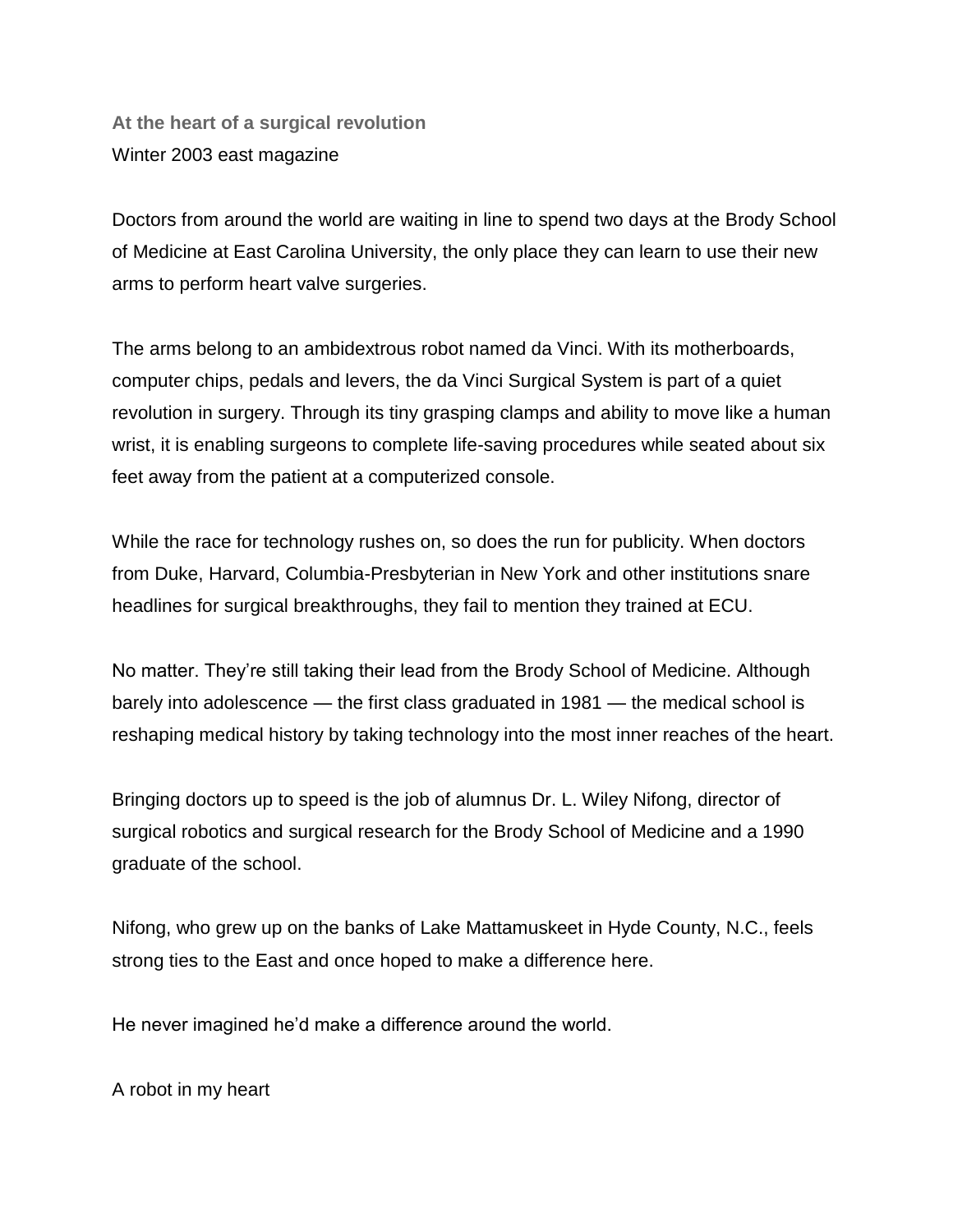**At the heart of a surgical revolution** Winter 2003 east magazine

Doctors from around the world are waiting in line to spend two days at the Brody School of Medicine at East Carolina University, the only place they can learn to use their new arms to perform heart valve surgeries.

The arms belong to an ambidextrous robot named da Vinci. With its motherboards, computer chips, pedals and levers, the da Vinci Surgical System is part of a quiet revolution in surgery. Through its tiny grasping clamps and ability to move like a human wrist, it is enabling surgeons to complete life-saving procedures while seated about six feet away from the patient at a computerized console.

While the race for technology rushes on, so does the run for publicity. When doctors from Duke, Harvard, Columbia-Presbyterian in New York and other institutions snare headlines for surgical breakthroughs, they fail to mention they trained at ECU.

No matter. They're still taking their lead from the Brody School of Medicine. Although barely into adolescence — the first class graduated in 1981 — the medical school is reshaping medical history by taking technology into the most inner reaches of the heart.

Bringing doctors up to speed is the job of alumnus Dr. L. Wiley Nifong, director of surgical robotics and surgical research for the Brody School of Medicine and a 1990 graduate of the school.

Nifong, who grew up on the banks of Lake Mattamuskeet in Hyde County, N.C., feels strong ties to the East and once hoped to make a difference here.

He never imagined he'd make a difference around the world.

A robot in my heart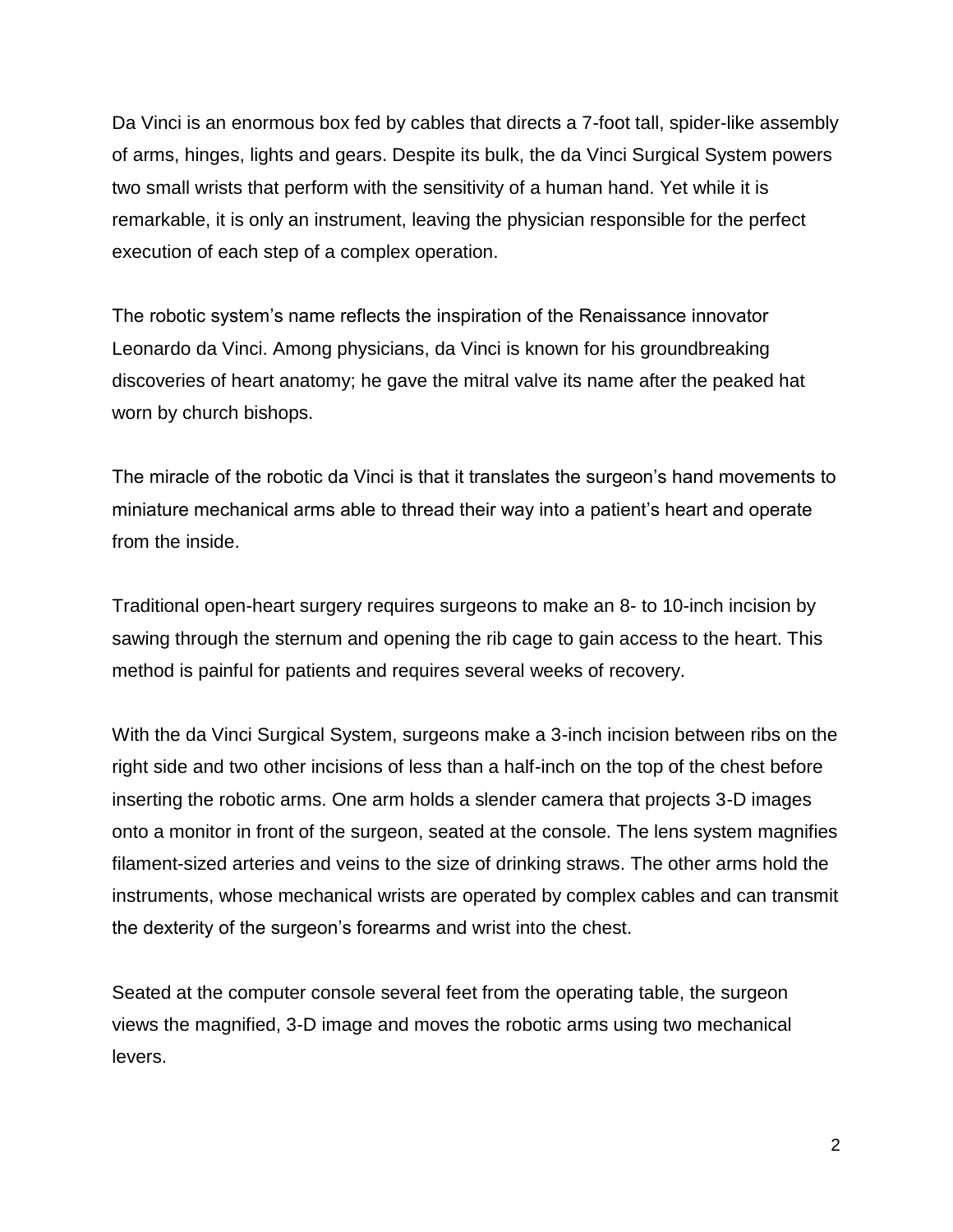Da Vinci is an enormous box fed by cables that directs a 7-foot tall, spider-like assembly of arms, hinges, lights and gears. Despite its bulk, the da Vinci Surgical System powers two small wrists that perform with the sensitivity of a human hand. Yet while it is remarkable, it is only an instrument, leaving the physician responsible for the perfect execution of each step of a complex operation.

The robotic system's name reflects the inspiration of the Renaissance innovator Leonardo da Vinci. Among physicians, da Vinci is known for his groundbreaking discoveries of heart anatomy; he gave the mitral valve its name after the peaked hat worn by church bishops.

The miracle of the robotic da Vinci is that it translates the surgeon's hand movements to miniature mechanical arms able to thread their way into a patient's heart and operate from the inside.

Traditional open-heart surgery requires surgeons to make an 8- to 10-inch incision by sawing through the sternum and opening the rib cage to gain access to the heart. This method is painful for patients and requires several weeks of recovery.

With the da Vinci Surgical System, surgeons make a 3-inch incision between ribs on the right side and two other incisions of less than a half-inch on the top of the chest before inserting the robotic arms. One arm holds a slender camera that projects 3-D images onto a monitor in front of the surgeon, seated at the console. The lens system magnifies filament-sized arteries and veins to the size of drinking straws. The other arms hold the instruments, whose mechanical wrists are operated by complex cables and can transmit the dexterity of the surgeon's forearms and wrist into the chest.

Seated at the computer console several feet from the operating table, the surgeon views the magnified, 3-D image and moves the robotic arms using two mechanical levers.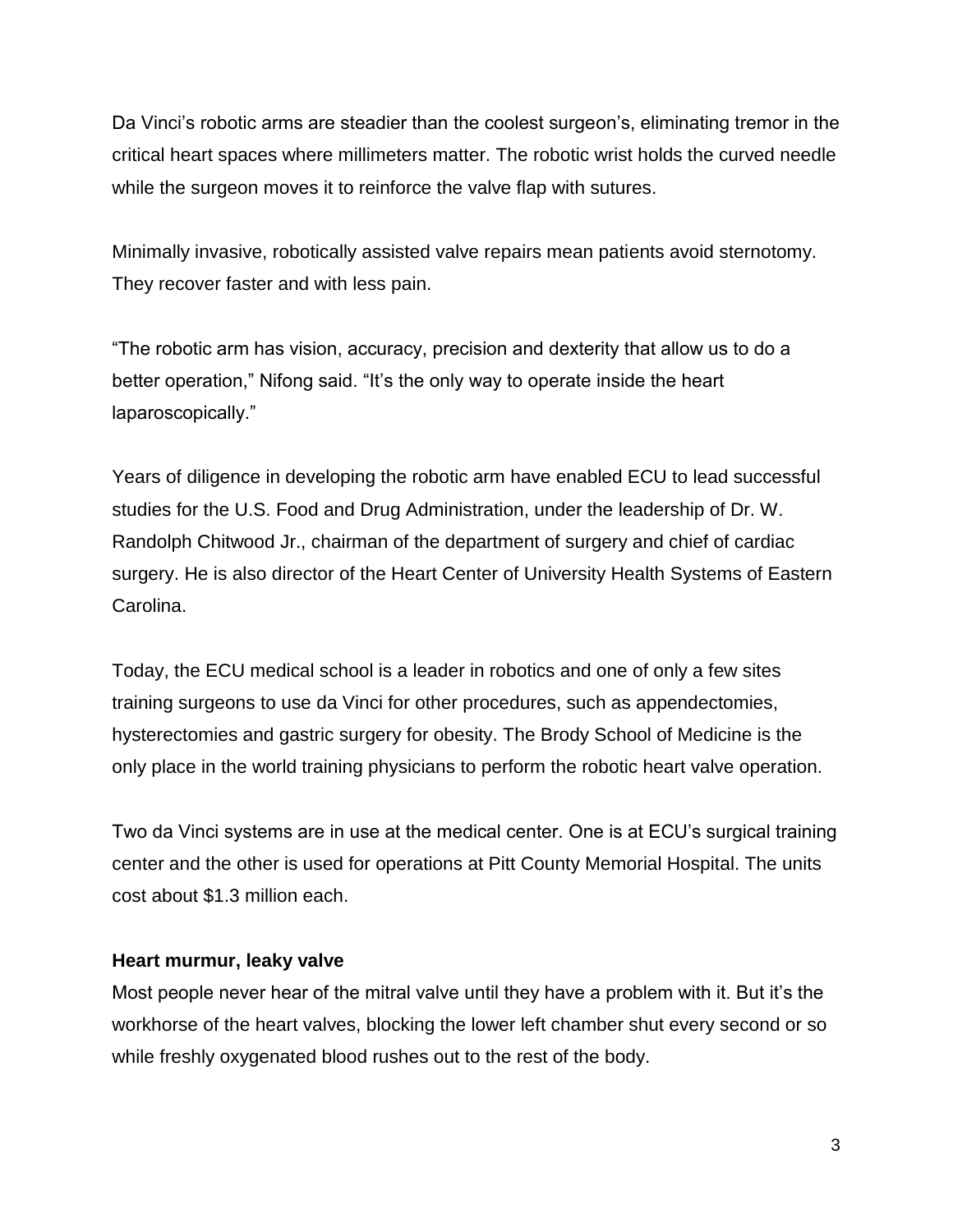Da Vinci's robotic arms are steadier than the coolest surgeon's, eliminating tremor in the critical heart spaces where millimeters matter. The robotic wrist holds the curved needle while the surgeon moves it to reinforce the valve flap with sutures.

Minimally invasive, robotically assisted valve repairs mean patients avoid sternotomy. They recover faster and with less pain.

"The robotic arm has vision, accuracy, precision and dexterity that allow us to do a better operation," Nifong said. "It's the only way to operate inside the heart laparoscopically."

Years of diligence in developing the robotic arm have enabled ECU to lead successful studies for the U.S. Food and Drug Administration, under the leadership of Dr. W. Randolph Chitwood Jr., chairman of the department of surgery and chief of cardiac surgery. He is also director of the Heart Center of University Health Systems of Eastern Carolina.

Today, the ECU medical school is a leader in robotics and one of only a few sites training surgeons to use da Vinci for other procedures, such as appendectomies, hysterectomies and gastric surgery for obesity. The Brody School of Medicine is the only place in the world training physicians to perform the robotic heart valve operation.

Two da Vinci systems are in use at the medical center. One is at ECU's surgical training center and the other is used for operations at Pitt County Memorial Hospital. The units cost about \$1.3 million each.

## **Heart murmur, leaky valve**

Most people never hear of the mitral valve until they have a problem with it. But it's the workhorse of the heart valves, blocking the lower left chamber shut every second or so while freshly oxygenated blood rushes out to the rest of the body.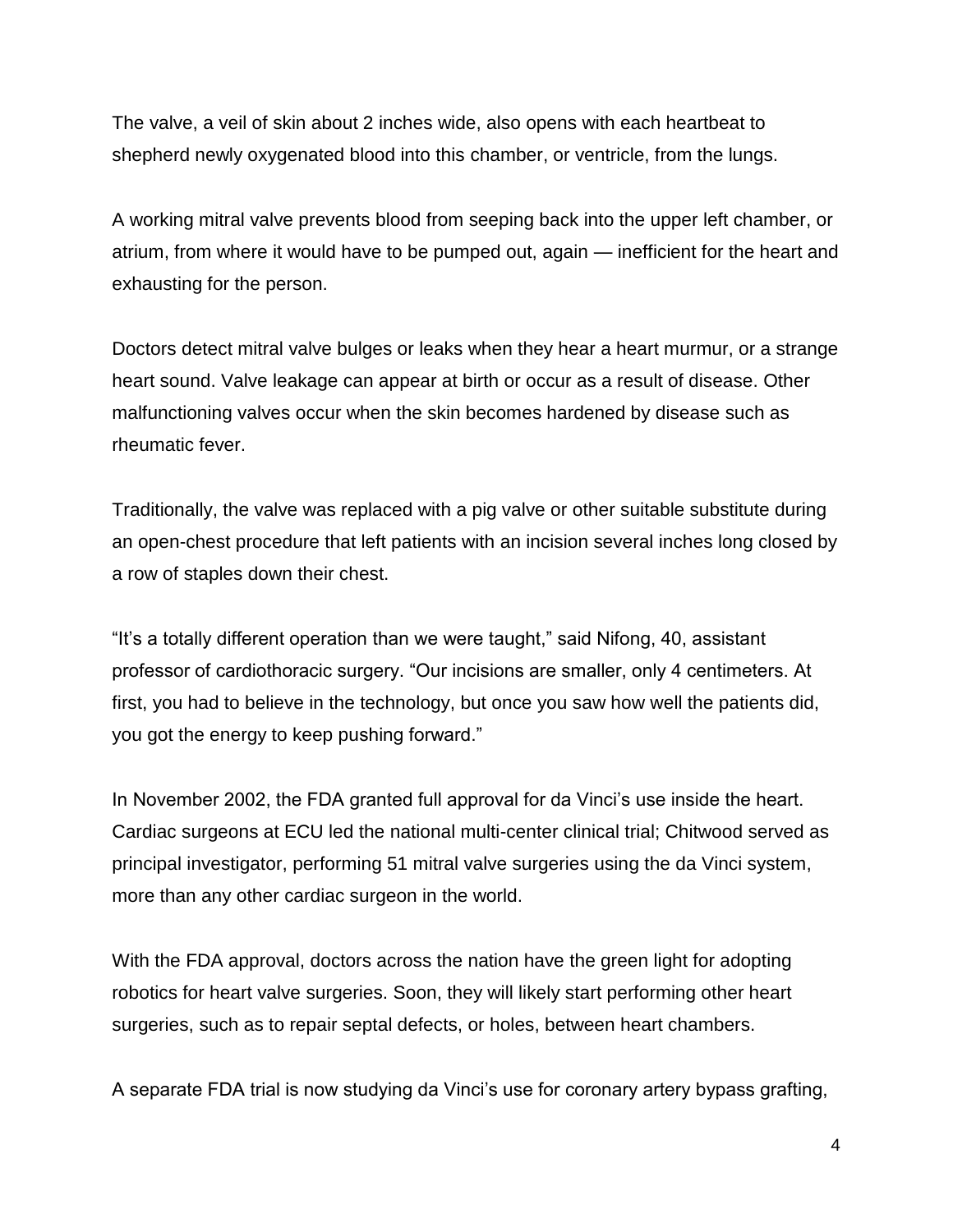The valve, a veil of skin about 2 inches wide, also opens with each heartbeat to shepherd newly oxygenated blood into this chamber, or ventricle, from the lungs.

A working mitral valve prevents blood from seeping back into the upper left chamber, or atrium, from where it would have to be pumped out, again — inefficient for the heart and exhausting for the person.

Doctors detect mitral valve bulges or leaks when they hear a heart murmur, or a strange heart sound. Valve leakage can appear at birth or occur as a result of disease. Other malfunctioning valves occur when the skin becomes hardened by disease such as rheumatic fever.

Traditionally, the valve was replaced with a pig valve or other suitable substitute during an open-chest procedure that left patients with an incision several inches long closed by a row of staples down their chest.

"It's a totally different operation than we were taught," said Nifong, 40, assistant professor of cardiothoracic surgery. "Our incisions are smaller, only 4 centimeters. At first, you had to believe in the technology, but once you saw how well the patients did, you got the energy to keep pushing forward."

In November 2002, the FDA granted full approval for da Vinci's use inside the heart. Cardiac surgeons at ECU led the national multi-center clinical trial; Chitwood served as principal investigator, performing 51 mitral valve surgeries using the da Vinci system, more than any other cardiac surgeon in the world.

With the FDA approval, doctors across the nation have the green light for adopting robotics for heart valve surgeries. Soon, they will likely start performing other heart surgeries, such as to repair septal defects, or holes, between heart chambers.

A separate FDA trial is now studying da Vinci's use for coronary artery bypass grafting,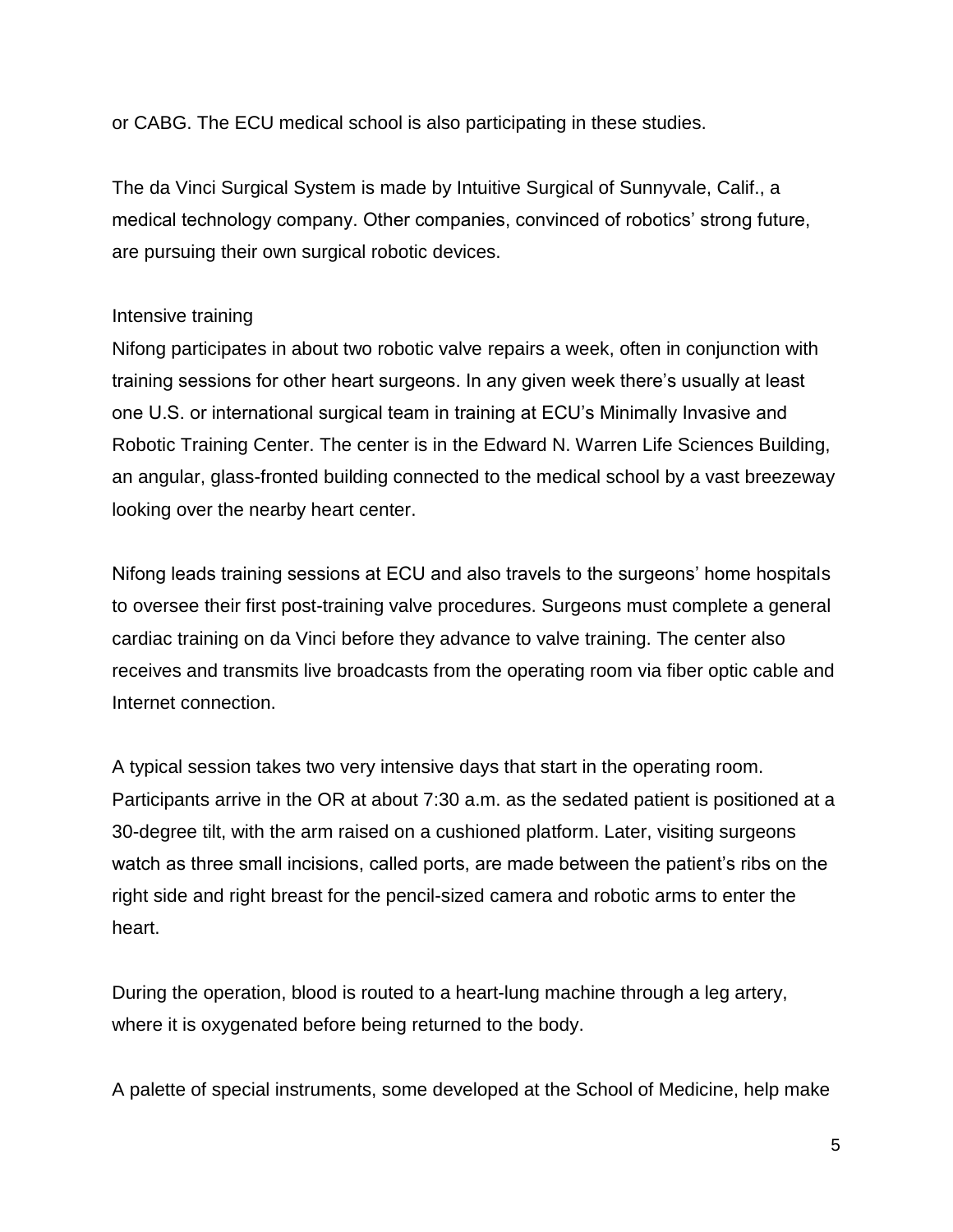or CABG. The ECU medical school is also participating in these studies.

The da Vinci Surgical System is made by Intuitive Surgical of Sunnyvale, Calif., a medical technology company. Other companies, convinced of robotics' strong future, are pursuing their own surgical robotic devices.

# Intensive training

Nifong participates in about two robotic valve repairs a week, often in conjunction with training sessions for other heart surgeons. In any given week there's usually at least one U.S. or international surgical team in training at ECU's Minimally Invasive and Robotic Training Center. The center is in the Edward N. Warren Life Sciences Building, an angular, glass-fronted building connected to the medical school by a vast breezeway looking over the nearby heart center.

Nifong leads training sessions at ECU and also travels to the surgeons' home hospitals to oversee their first post-training valve procedures. Surgeons must complete a general cardiac training on da Vinci before they advance to valve training. The center also receives and transmits live broadcasts from the operating room via fiber optic cable and Internet connection.

A typical session takes two very intensive days that start in the operating room. Participants arrive in the OR at about 7:30 a.m. as the sedated patient is positioned at a 30-degree tilt, with the arm raised on a cushioned platform. Later, visiting surgeons watch as three small incisions, called ports, are made between the patient's ribs on the right side and right breast for the pencil-sized camera and robotic arms to enter the heart.

During the operation, blood is routed to a heart-lung machine through a leg artery, where it is oxygenated before being returned to the body.

A palette of special instruments, some developed at the School of Medicine, help make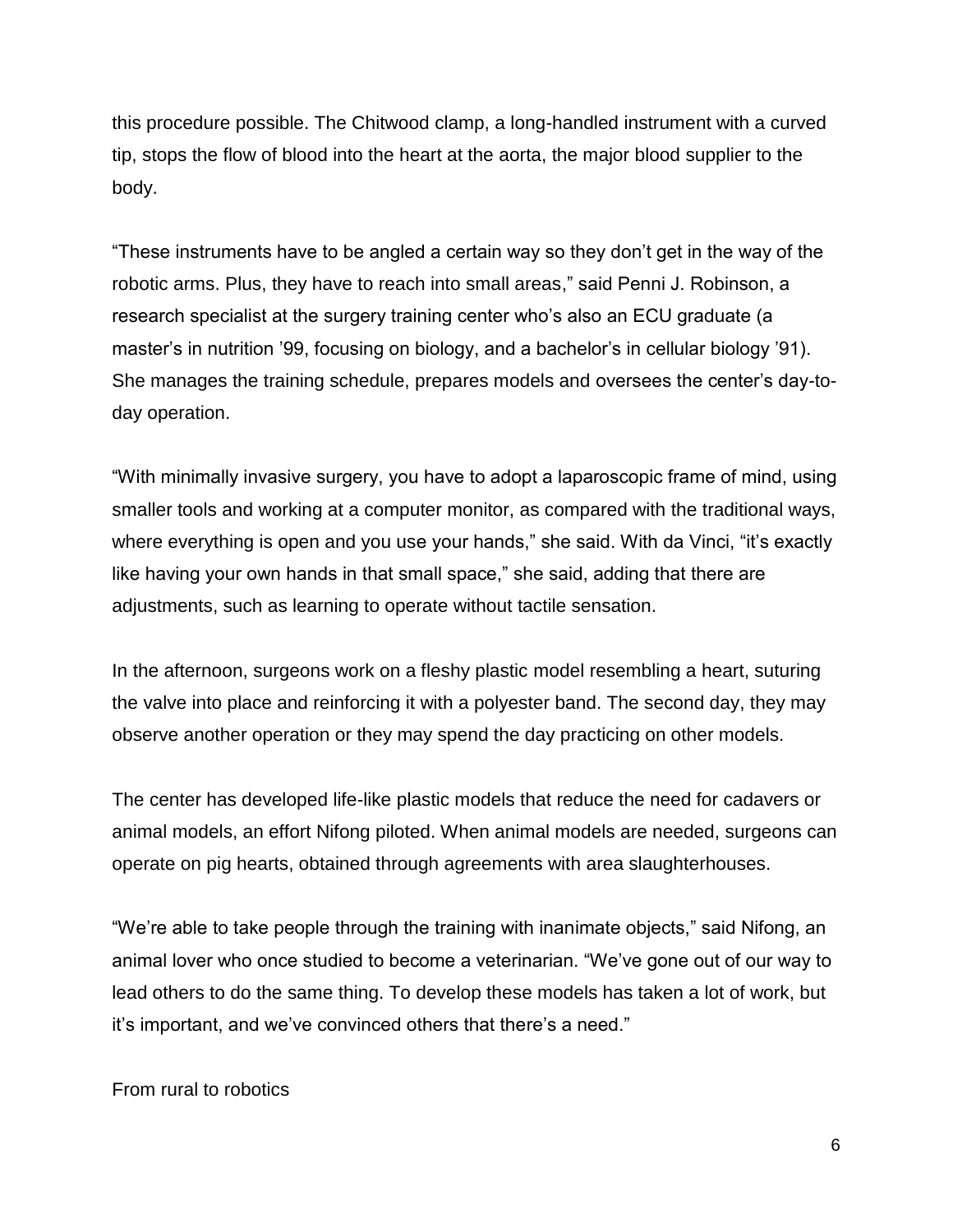this procedure possible. The Chitwood clamp, a long-handled instrument with a curved tip, stops the flow of blood into the heart at the aorta, the major blood supplier to the body.

"These instruments have to be angled a certain way so they don't get in the way of the robotic arms. Plus, they have to reach into small areas," said Penni J. Robinson, a research specialist at the surgery training center who's also an ECU graduate (a master's in nutrition '99, focusing on biology, and a bachelor's in cellular biology '91). She manages the training schedule, prepares models and oversees the center's day-today operation.

"With minimally invasive surgery, you have to adopt a laparoscopic frame of mind, using smaller tools and working at a computer monitor, as compared with the traditional ways, where everything is open and you use your hands," she said. With da Vinci, "it's exactly like having your own hands in that small space," she said, adding that there are adjustments, such as learning to operate without tactile sensation.

In the afternoon, surgeons work on a fleshy plastic model resembling a heart, suturing the valve into place and reinforcing it with a polyester band. The second day, they may observe another operation or they may spend the day practicing on other models.

The center has developed life-like plastic models that reduce the need for cadavers or animal models, an effort Nifong piloted. When animal models are needed, surgeons can operate on pig hearts, obtained through agreements with area slaughterhouses.

"We're able to take people through the training with inanimate objects," said Nifong, an animal lover who once studied to become a veterinarian. "We've gone out of our way to lead others to do the same thing. To develop these models has taken a lot of work, but it's important, and we've convinced others that there's a need."

From rural to robotics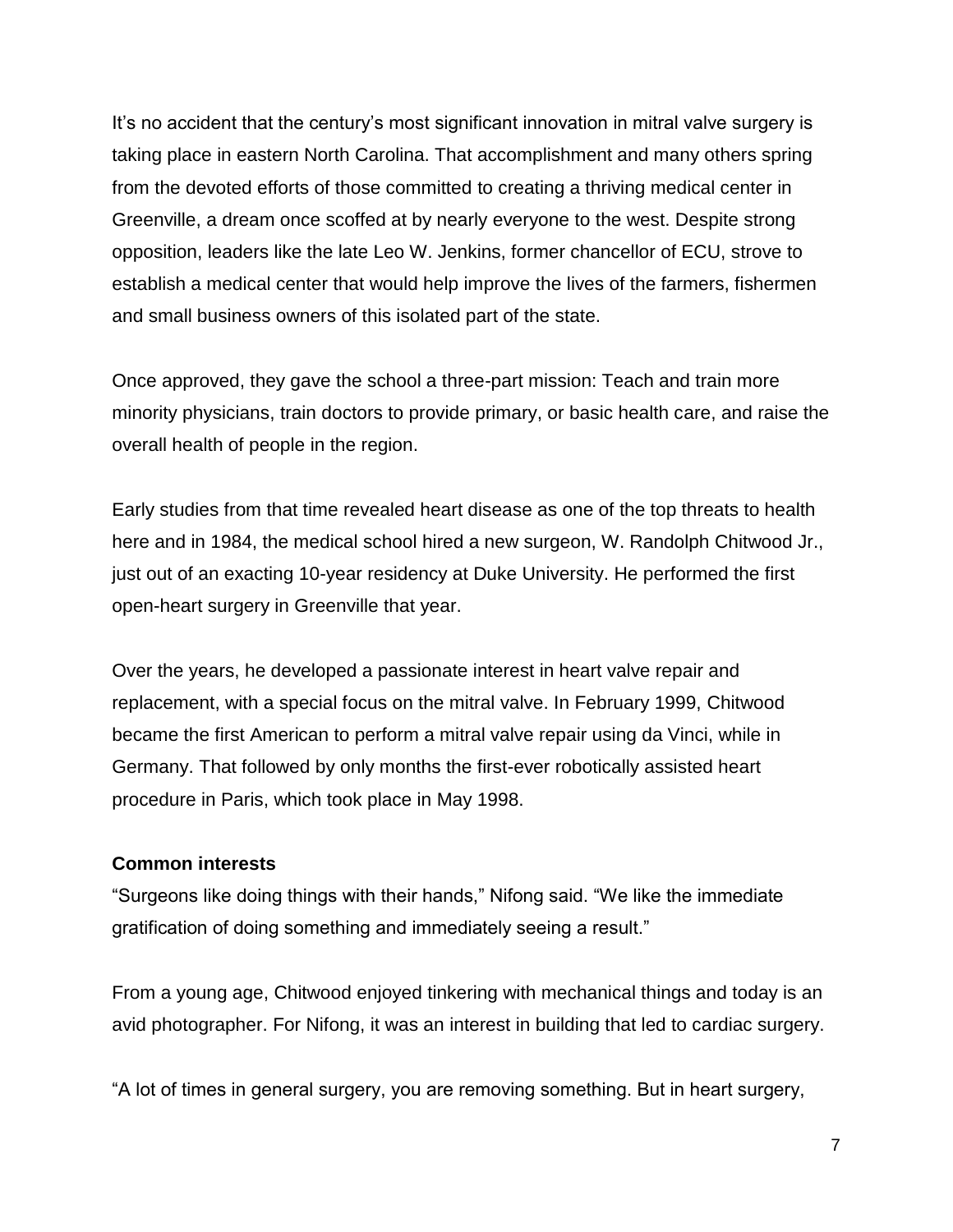It's no accident that the century's most significant innovation in mitral valve surgery is taking place in eastern North Carolina. That accomplishment and many others spring from the devoted efforts of those committed to creating a thriving medical center in Greenville, a dream once scoffed at by nearly everyone to the west. Despite strong opposition, leaders like the late Leo W. Jenkins, former chancellor of ECU, strove to establish a medical center that would help improve the lives of the farmers, fishermen and small business owners of this isolated part of the state.

Once approved, they gave the school a three-part mission: Teach and train more minority physicians, train doctors to provide primary, or basic health care, and raise the overall health of people in the region.

Early studies from that time revealed heart disease as one of the top threats to health here and in 1984, the medical school hired a new surgeon, W. Randolph Chitwood Jr., just out of an exacting 10-year residency at Duke University. He performed the first open-heart surgery in Greenville that year.

Over the years, he developed a passionate interest in heart valve repair and replacement, with a special focus on the mitral valve. In February 1999, Chitwood became the first American to perform a mitral valve repair using da Vinci, while in Germany. That followed by only months the first-ever robotically assisted heart procedure in Paris, which took place in May 1998.

## **Common interests**

"Surgeons like doing things with their hands," Nifong said. "We like the immediate gratification of doing something and immediately seeing a result."

From a young age, Chitwood enjoyed tinkering with mechanical things and today is an avid photographer. For Nifong, it was an interest in building that led to cardiac surgery.

"A lot of times in general surgery, you are removing something. But in heart surgery,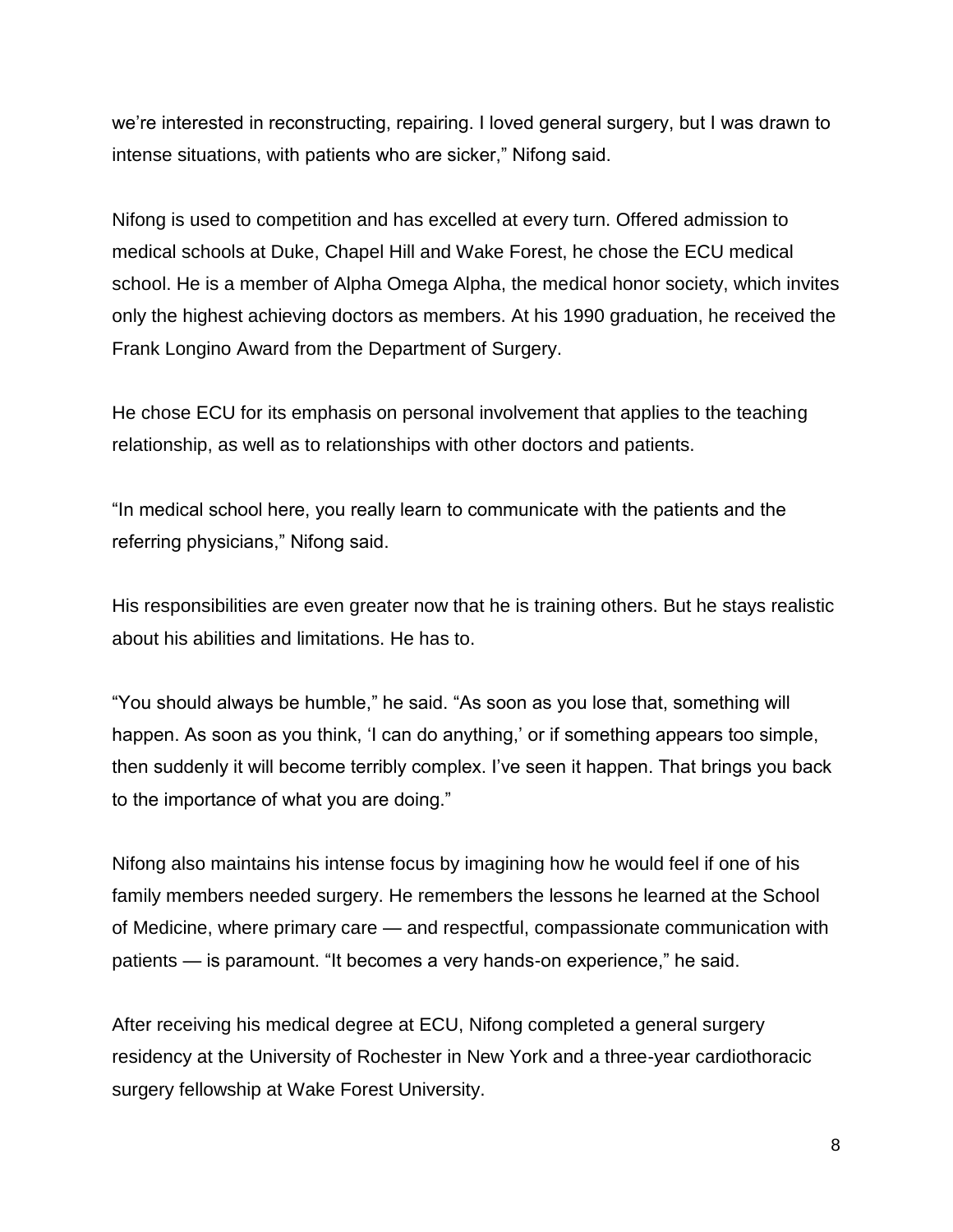we're interested in reconstructing, repairing. I loved general surgery, but I was drawn to intense situations, with patients who are sicker," Nifong said.

Nifong is used to competition and has excelled at every turn. Offered admission to medical schools at Duke, Chapel Hill and Wake Forest, he chose the ECU medical school. He is a member of Alpha Omega Alpha, the medical honor society, which invites only the highest achieving doctors as members. At his 1990 graduation, he received the Frank Longino Award from the Department of Surgery.

He chose ECU for its emphasis on personal involvement that applies to the teaching relationship, as well as to relationships with other doctors and patients.

"In medical school here, you really learn to communicate with the patients and the referring physicians," Nifong said.

His responsibilities are even greater now that he is training others. But he stays realistic about his abilities and limitations. He has to.

"You should always be humble," he said. "As soon as you lose that, something will happen. As soon as you think, 'I can do anything,' or if something appears too simple, then suddenly it will become terribly complex. I've seen it happen. That brings you back to the importance of what you are doing."

Nifong also maintains his intense focus by imagining how he would feel if one of his family members needed surgery. He remembers the lessons he learned at the School of Medicine, where primary care — and respectful, compassionate communication with patients — is paramount. "It becomes a very hands-on experience," he said.

After receiving his medical degree at ECU, Nifong completed a general surgery residency at the University of Rochester in New York and a three-year cardiothoracic surgery fellowship at Wake Forest University.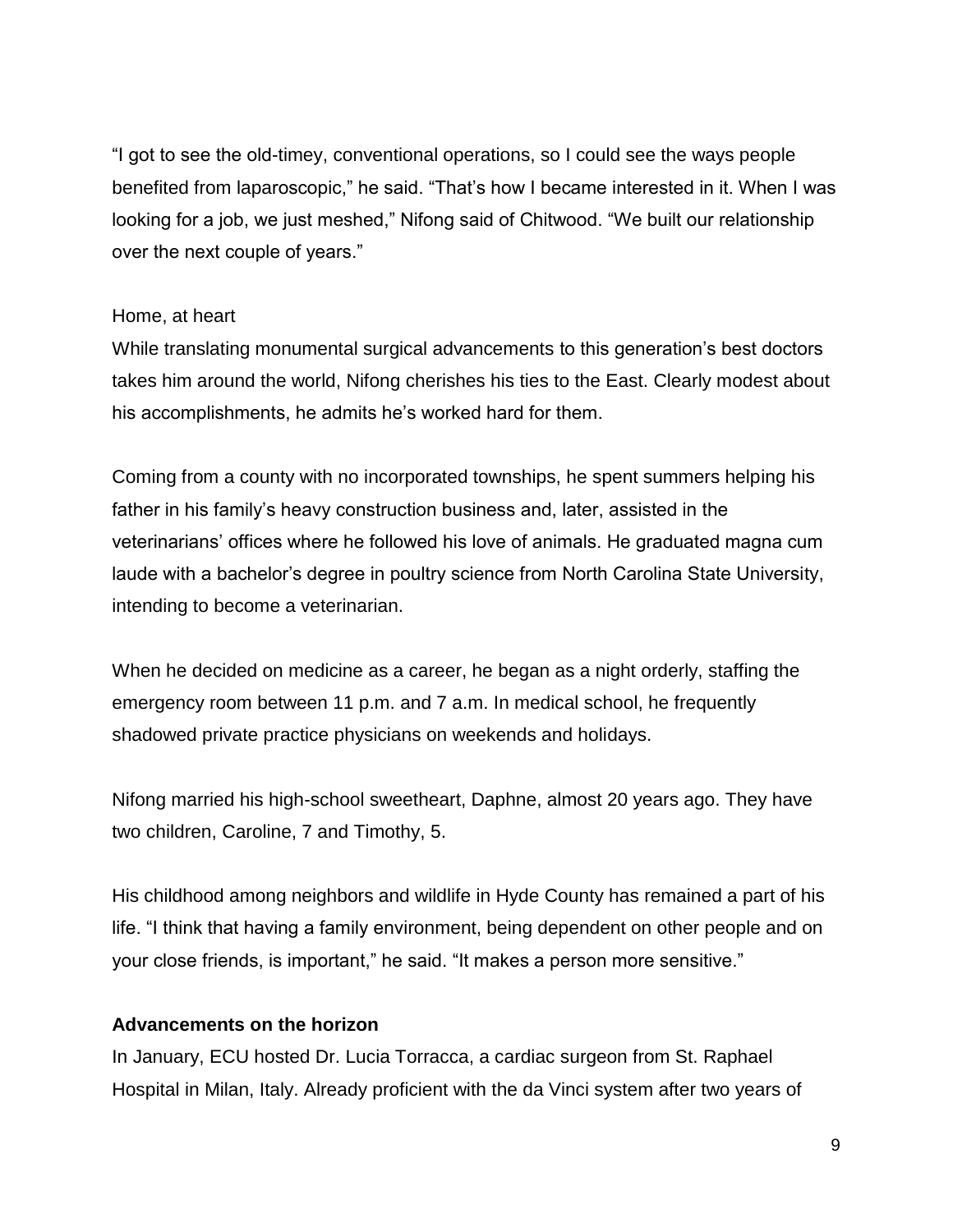"I got to see the old-timey, conventional operations, so I could see the ways people benefited from laparoscopic," he said. "That's how I became interested in it. When I was looking for a job, we just meshed," Nifong said of Chitwood. "We built our relationship over the next couple of years."

### Home, at heart

While translating monumental surgical advancements to this generation's best doctors takes him around the world, Nifong cherishes his ties to the East. Clearly modest about his accomplishments, he admits he's worked hard for them.

Coming from a county with no incorporated townships, he spent summers helping his father in his family's heavy construction business and, later, assisted in the veterinarians' offices where he followed his love of animals. He graduated magna cum laude with a bachelor's degree in poultry science from North Carolina State University, intending to become a veterinarian.

When he decided on medicine as a career, he began as a night orderly, staffing the emergency room between 11 p.m. and 7 a.m. In medical school, he frequently shadowed private practice physicians on weekends and holidays.

Nifong married his high-school sweetheart, Daphne, almost 20 years ago. They have two children, Caroline, 7 and Timothy, 5.

His childhood among neighbors and wildlife in Hyde County has remained a part of his life. "I think that having a family environment, being dependent on other people and on your close friends, is important," he said. "It makes a person more sensitive."

## **Advancements on the horizon**

In January, ECU hosted Dr. Lucia Torracca, a cardiac surgeon from St. Raphael Hospital in Milan, Italy. Already proficient with the da Vinci system after two years of